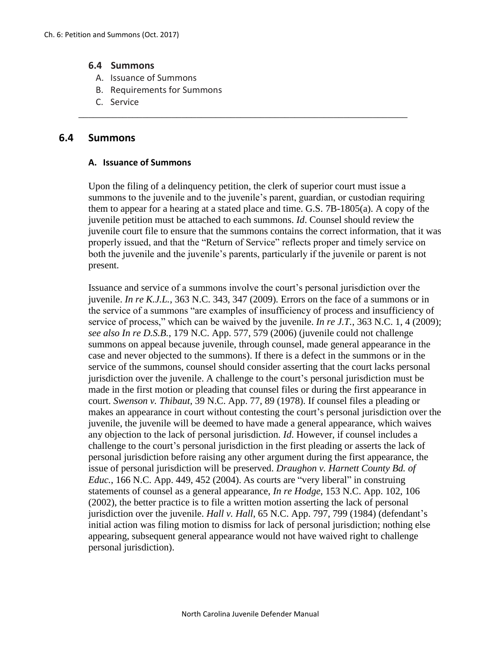## **6.4 Summons**

- A. Issuance of Summons
- B. Requirements for Summons
- C. Service

## **6.4 Summons**

### **A. Issuance of Summons**

Upon the filing of a delinquency petition, the clerk of superior court must issue a summons to the juvenile and to the juvenile's parent, guardian, or custodian requiring them to appear for a hearing at a stated place and time. G.S. 7B-1805(a). A copy of the juvenile petition must be attached to each summons. *Id*. Counsel should review the juvenile court file to ensure that the summons contains the correct information, that it was properly issued, and that the "Return of Service" reflects proper and timely service on both the juvenile and the juvenile's parents, particularly if the juvenile or parent is not present.

\_\_\_\_\_\_\_\_\_\_\_\_\_\_\_\_\_\_\_\_\_\_\_\_\_\_\_\_\_\_\_\_\_\_\_\_\_\_\_\_\_\_\_\_\_\_\_\_\_\_\_\_\_\_\_\_\_\_\_\_\_\_\_\_\_\_\_

Issuance and service of a summons involve the court's personal jurisdiction over the juvenile. *In re K.J.L.*, 363 N.C. 343, 347 (2009). Errors on the face of a summons or in the service of a summons "are examples of insufficiency of process and insufficiency of service of process," which can be waived by the juvenile. *In re J.T.*, 363 N.C. 1, 4 (2009); *see also In re D.S.B.*, 179 N.C. App. 577, 579 (2006) (juvenile could not challenge summons on appeal because juvenile, through counsel, made general appearance in the case and never objected to the summons). If there is a defect in the summons or in the service of the summons, counsel should consider asserting that the court lacks personal jurisdiction over the juvenile. A challenge to the court's personal jurisdiction must be made in the first motion or pleading that counsel files or during the first appearance in court. *Swenson v. Thibaut*, 39 N.C. App. 77, 89 (1978). If counsel files a pleading or makes an appearance in court without contesting the court's personal jurisdiction over the juvenile, the juvenile will be deemed to have made a general appearance, which waives any objection to the lack of personal jurisdiction. *Id*. However, if counsel includes a challenge to the court's personal jurisdiction in the first pleading or asserts the lack of personal jurisdiction before raising any other argument during the first appearance, the issue of personal jurisdiction will be preserved. *Draughon v. Harnett County Bd. of Educ.*, 166 N.C. App. 449, 452 (2004). As courts are "very liberal" in construing statements of counsel as a general appearance, *In re Hodge*, 153 N.C. App. 102, 106 (2002), the better practice is to file a written motion asserting the lack of personal jurisdiction over the juvenile. *Hall v. Hall*, 65 N.C. App. 797, 799 (1984) (defendant's initial action was filing motion to dismiss for lack of personal jurisdiction; nothing else appearing, subsequent general appearance would not have waived right to challenge personal jurisdiction).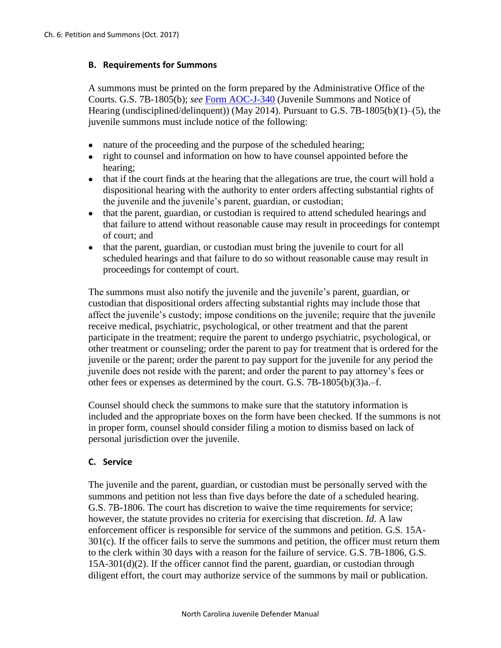# **B. Requirements for Summons**

A summons must be printed on the form prepared by the Administrative Office of the Courts. G.S. 7B-1805(b); *see* [Form AOC-J-340](http://www.nccourts.org/forms/Documents/522.pdf) (Juvenile Summons and Notice of Hearing (undisciplined/delinquent)) (May 2014). Pursuant to G.S. 7B-1805(b)(1)–(5), the juvenile summons must include notice of the following:

- nature of the proceeding and the purpose of the scheduled hearing;
- right to counsel and information on how to have counsel appointed before the hearing;
- that if the court finds at the hearing that the allegations are true, the court will hold a dispositional hearing with the authority to enter orders affecting substantial rights of the juvenile and the juvenile's parent, guardian, or custodian;
- that the parent, guardian, or custodian is required to attend scheduled hearings and that failure to attend without reasonable cause may result in proceedings for contempt of court; and
- that the parent, guardian, or custodian must bring the juvenile to court for all scheduled hearings and that failure to do so without reasonable cause may result in proceedings for contempt of court.

The summons must also notify the juvenile and the juvenile's parent, guardian, or custodian that dispositional orders affecting substantial rights may include those that affect the juvenile's custody; impose conditions on the juvenile; require that the juvenile receive medical, psychiatric, psychological, or other treatment and that the parent participate in the treatment; require the parent to undergo psychiatric, psychological, or other treatment or counseling; order the parent to pay for treatment that is ordered for the juvenile or the parent; order the parent to pay support for the juvenile for any period the juvenile does not reside with the parent; and order the parent to pay attorney's fees or other fees or expenses as determined by the court. G.S. 7B-1805(b)(3)a.–f.

Counsel should check the summons to make sure that the statutory information is included and the appropriate boxes on the form have been checked. If the summons is not in proper form, counsel should consider filing a motion to dismiss based on lack of personal jurisdiction over the juvenile.

# **C. Service**

The juvenile and the parent, guardian, or custodian must be personally served with the summons and petition not less than five days before the date of a scheduled hearing. G.S. 7B-1806. The court has discretion to waive the time requirements for service; however, the statute provides no criteria for exercising that discretion. *Id*. A law enforcement officer is responsible for service of the summons and petition. G.S. 15A- $301(c)$ . If the officer fails to serve the summons and petition, the officer must return them to the clerk within 30 days with a reason for the failure of service. G.S. 7B-1806, G.S. 15A-301(d)(2). If the officer cannot find the parent, guardian, or custodian through diligent effort, the court may authorize service of the summons by mail or publication.